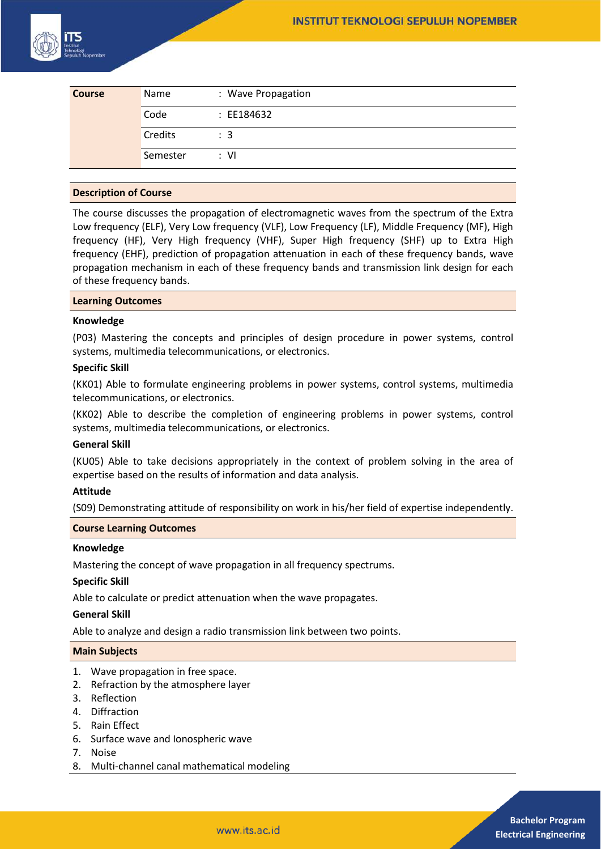

| <b>Course</b> | Name     | : Wave Propagation |
|---------------|----------|--------------------|
|               | Code     | : EE184632         |
|               | Credits  | $\therefore$ 3     |
|               | Semester | : VI               |

#### **Description of Course**

The course discusses the propagation of electromagnetic waves from the spectrum of the Extra Low frequency (ELF), Very Low frequency (VLF), Low Frequency (LF), Middle Frequency (MF), High frequency (HF), Very High frequency (VHF), Super High frequency (SHF) up to Extra High frequency (EHF), prediction of propagation attenuation in each of these frequency bands, wave propagation mechanism in each of these frequency bands and transmission link design for each of these frequency bands.

#### **Learning Outcomes**

#### **Knowledge**

(P03) Mastering the concepts and principles of design procedure in power systems, control systems, multimedia telecommunications, or electronics.

## **Specific Skill**

(KK01) Able to formulate engineering problems in power systems, control systems, multimedia telecommunications, or electronics.

(KK02) Able to describe the completion of engineering problems in power systems, control systems, multimedia telecommunications, or electronics.

#### **General Skill**

(KU05) Able to take decisions appropriately in the context of problem solving in the area of expertise based on the results of information and data analysis.

#### **Attitude**

(S09) Demonstrating attitude of responsibility on work in his/her field of expertise independently.

# **Course Learning Outcomes**

#### **Knowledge**

Mastering the concept of wave propagation in all frequency spectrums.

## **Specific Skill**

Able to calculate or predict attenuation when the wave propagates.

## **General Skill**

Able to analyze and design a radio transmission link between two points.

#### **Main Subjects**

- 1. Wave propagation in free space.
- 2. Refraction by the atmosphere layer
- 3. Reflection
- 4. Diffraction
- 5. Rain Effect
- 6. Surface wave and Ionospheric wave
- 7. Noise
- 8. Multi-channel canal mathematical modeling